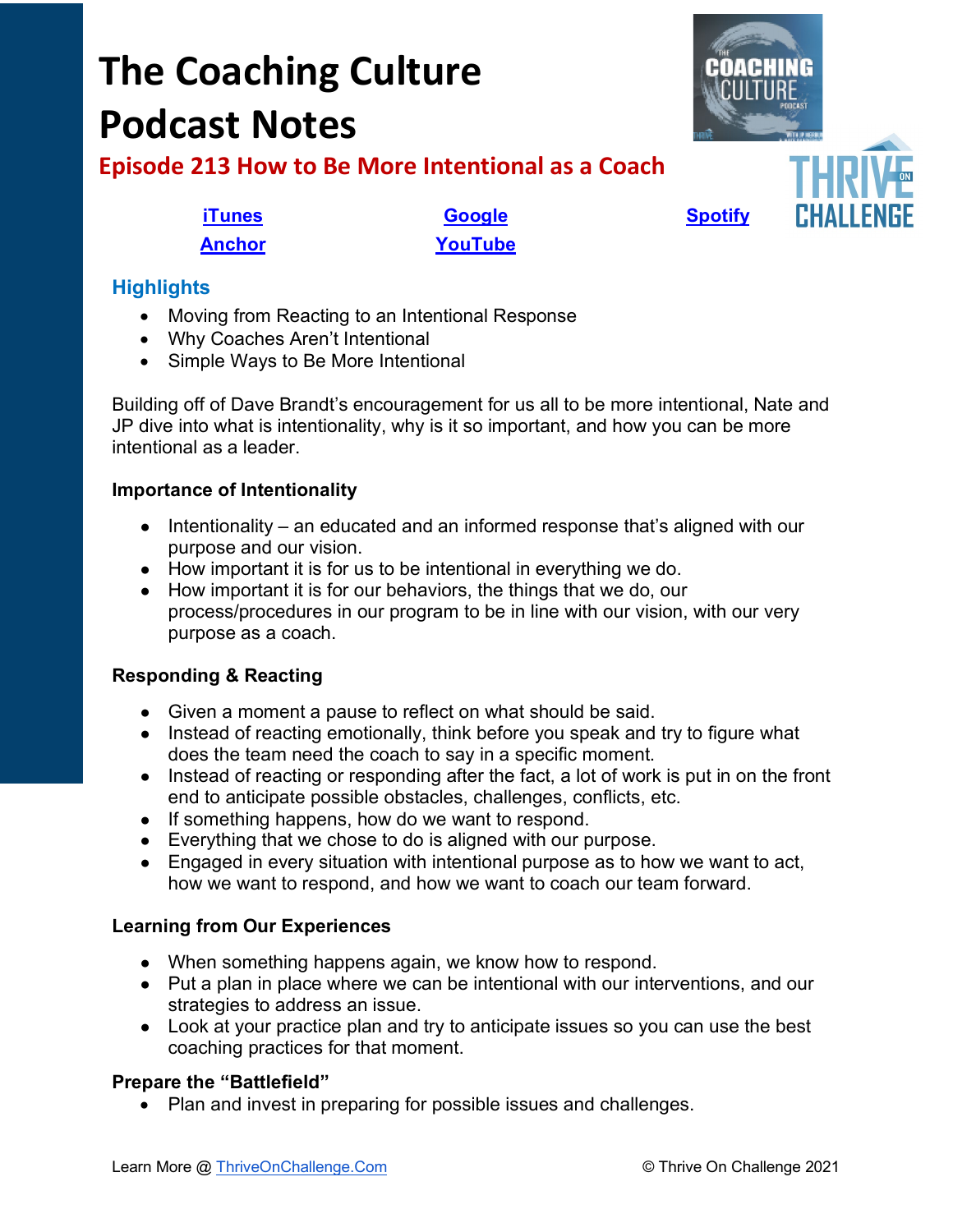# **The Coaching Culture Podcast Notes**



**Episode 213 How to Be More Intentional as a Coach**

**[iTunes](https://tinyurl.com/y68cvd4x) [Google](https://tinyurl.com/xhduf9bw) [Spotify](https://tinyurl.com/3sf9cp5h) [Anchor](https://tinyurl.com/4yhexz6d) [YouTube](https://youtu.be/HjVlkiSWVYU)**

# **Highlights**

- Moving from Reacting to an Intentional Response
- Why Coaches Aren't Intentional
- Simple Ways to Be More Intentional

Building off of Dave Brandt's encouragement for us all to be more intentional, Nate and JP dive into what is intentionality, why is it so important, and how you can be more intentional as a leader.

# **Importance of Intentionality**

- Intentionality an educated and an informed response that's aligned with our purpose and our vision.
- How important it is for us to be intentional in everything we do.
- How important it is for our behaviors, the things that we do, our process/procedures in our program to be in line with our vision, with our very purpose as a coach.

# **Responding & Reacting**

- Given a moment a pause to reflect on what should be said.
- Instead of reacting emotionally, think before you speak and try to figure what does the team need the coach to say in a specific moment.
- Instead of reacting or responding after the fact, a lot of work is put in on the front end to anticipate possible obstacles, challenges, conflicts, etc.
- If something happens, how do we want to respond.
- Everything that we chose to do is aligned with our purpose.
- Engaged in every situation with intentional purpose as to how we want to act, how we want to respond, and how we want to coach our team forward.

# **Learning from Our Experiences**

- When something happens again, we know how to respond.
- Put a plan in place where we can be intentional with our interventions, and our strategies to address an issue.
- Look at your practice plan and try to anticipate issues so you can use the best coaching practices for that moment.

## **Prepare the "Battlefield"**

• Plan and invest in preparing for possible issues and challenges.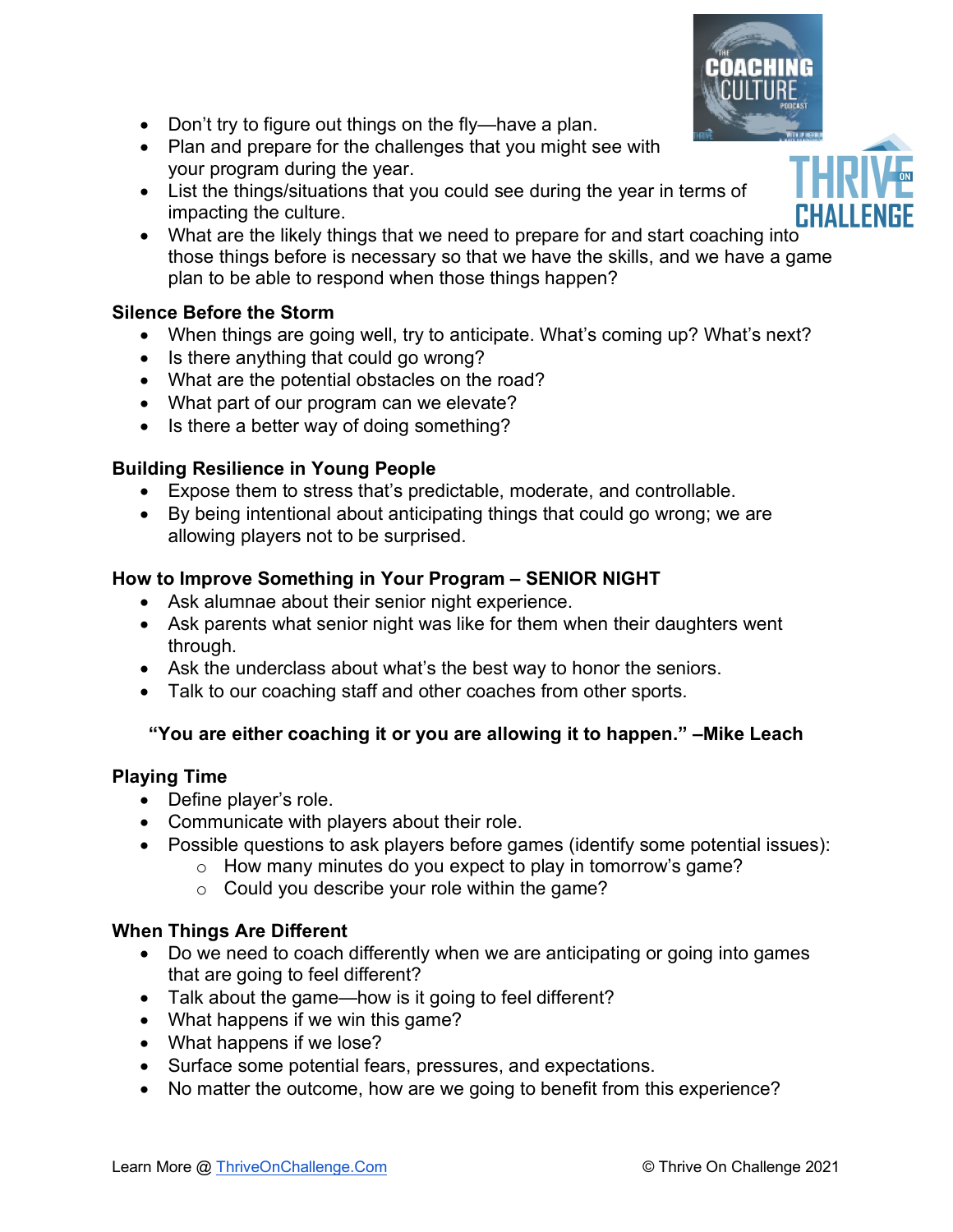- Don't try to figure out things on the fly—have a plan.
- Plan and prepare for the challenges that you might see with your program during the year.
- List the things/situations that you could see during the year in terms of impacting the culture.
- What are the likely things that we need to prepare for and start coaching into those things before is necessary so that we have the skills, and we have a game plan to be able to respond when those things happen?

#### **Silence Before the Storm**

- When things are going well, try to anticipate. What's coming up? What's next?
- Is there anything that could go wrong?
- What are the potential obstacles on the road?
- What part of our program can we elevate?
- Is there a better way of doing something?

#### **Building Resilience in Young People**

- Expose them to stress that's predictable, moderate, and controllable.
- By being intentional about anticipating things that could go wrong; we are allowing players not to be surprised.

### **How to Improve Something in Your Program – SENIOR NIGHT**

- Ask alumnae about their senior night experience.
- Ask parents what senior night was like for them when their daughters went through.
- Ask the underclass about what's the best way to honor the seniors.
- Talk to our coaching staff and other coaches from other sports.

### **"You are either coaching it or you are allowing it to happen." –Mike Leach**

#### **Playing Time**

- Define player's role.
- Communicate with players about their role.
- Possible questions to ask players before games (identify some potential issues):
	- $\circ$  How many minutes do you expect to play in tomorrow's game?
		- $\circ$  Could you describe your role within the game?

#### **When Things Are Different**

- Do we need to coach differently when we are anticipating or going into games that are going to feel different?
- Talk about the game—how is it going to feel different?
- What happens if we win this game?
- What happens if we lose?
- Surface some potential fears, pressures, and expectations.
- No matter the outcome, how are we going to benefit from this experience?